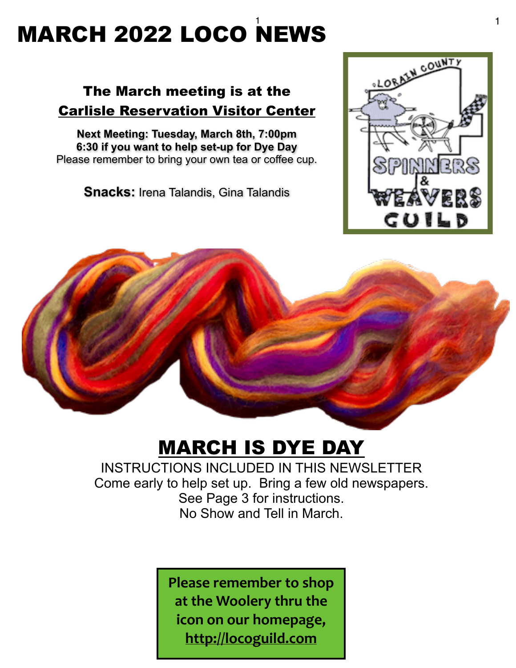#### $\frac{1}{1}$   $\frac{1}{1}$   $\frac{1}{1}$   $\frac{1}{1}$   $\frac{1}{1}$   $\frac{1}{1}$   $\frac{1}{1}$   $\frac{1}{1}$   $\frac{1}{1}$   $\frac{1}{1}$   $\frac{1}{1}$   $\frac{1}{1}$   $\frac{1}{1}$   $\frac{1}{1}$   $\frac{1}{1}$   $\frac{1}{1}$   $\frac{1}{1}$   $\frac{1}{1}$   $\frac{1}{1}$   $\frac{1}{1}$   $\frac{1}{1}$   $\frac{1}{1}$  MARCH 2022 LOCO NEWS

## The March meeting is at the Carlisle Reservation Visitor Center

**Next Meeting: Tuesday, March 8th, 7:00pm 6:30 if you want to help set-up for Dye Day** Please remember to bring your own tea or coffee cup.

**Snacks:** Irena Talandis, Gina Talandis





## MARCH IS DYE DAY

INSTRUCTIONS INCLUDED IN THIS NEWSLETTER Come early to help set up. Bring a few old newspapers. See Page 3 for instructions. No Show and Tell in March.

> **Please remember to shop** at the Woolery thru the **icon on our homepage, <http://locoguild.com>**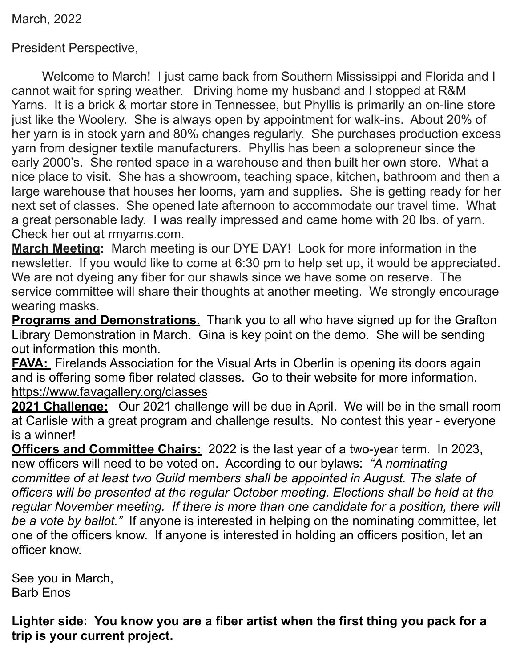March, 2022

President Perspective,

Welcome to March! I just came back from Southern Mississippi and Florida and I cannot wait for spring weather. Driving home my husband and I stopped at R&M Yarns. It is a brick & mortar store in Tennessee, but Phyllis is primarily an on-line store just like the Woolery. She is always open by appointment for walk-ins. About 20% of her yarn is in stock yarn and 80% changes regularly. She purchases production excess yarn from designer textile manufacturers. Phyllis has been a solopreneur since the early 2000's. She rented space in a warehouse and then built her own store. What a nice place to visit. She has a showroom, teaching space, kitchen, bathroom and then a large warehouse that houses her looms, yarn and supplies. She is getting ready for her next set of classes. She opened late afternoon to accommodate our travel time. What a great personable lady. I was really impressed and came home with 20 lbs. of yarn. Check her out at [rmyarns.com.](http://rmyarns.com)

**March Meeting:** March meeting is our DYE DAY! Look for more information in the newsletter. If you would like to come at 6:30 pm to help set up, it would be appreciated. We are not dyeing any fiber for our shawls since we have some on reserve. The service committee will share their thoughts at another meeting. We strongly encourage wearing masks.

**Programs and Demonstrations**. Thank you to all who have signed up for the Grafton Library Demonstration in March. Gina is key point on the demo. She will be sending out information this month.

**FAVA:** Firelands Association for the Visual Arts in Oberlin is opening its doors again and is offering some fiber related classes. Go to their website for more information. <https://www.favagallery.org/classes>

**2021 Challenge:** Our 2021 challenge will be due in April. We will be in the small room at Carlisle with a great program and challenge results. No contest this year - everyone is a winner!

**Officers and Committee Chairs:** 2022 is the last year of a two-year term. In 2023, new officers will need to be voted on. According to our bylaws: *"A nominating committee of at least two Guild members shall be appointed in August. The slate of officers will be presented at the regular October meeting. Elections shall be held at the regular November meeting. If there is more than one candidate for a position, there will be a vote by ballot."* If anyone is interested in helping on the nominating committee, let one of the officers know. If anyone is interested in holding an officers position, let an officer know.

See you in March, Barb Enos

**Lighter side: You know you are a fiber artist when the first thing you pack for a trip is your current project.**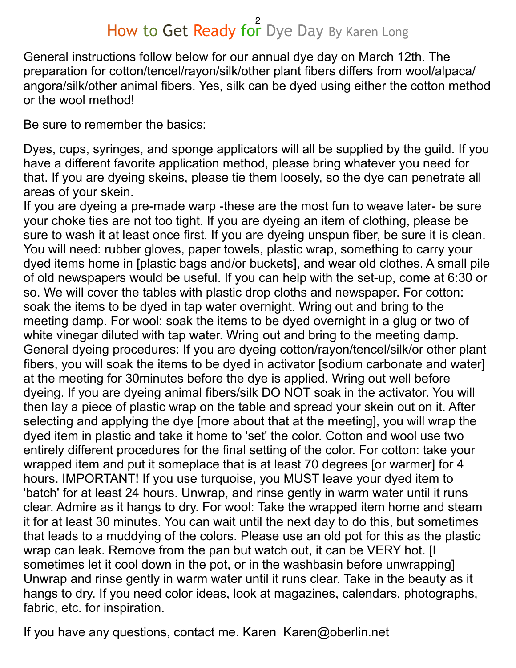# How to Get Ready for Dye Day By Karen Long

General instructions follow below for our annual dye day on March 12th. The preparation for cotton/tencel/rayon/silk/other plant fibers differs from wool/alpaca/ angora/silk/other animal fibers. Yes, silk can be dyed using either the cotton method or the wool method!

Be sure to remember the basics:

Dyes, cups, syringes, and sponge applicators will all be supplied by the guild. If you have a different favorite application method, please bring whatever you need for that. If you are dyeing skeins, please tie them loosely, so the dye can penetrate all areas of your skein.

If you are dyeing a pre-made warp -these are the most fun to weave later- be sure your choke ties are not too tight. If you are dyeing an item of clothing, please be sure to wash it at least once first. If you are dyeing unspun fiber, be sure it is clean. You will need: rubber gloves, paper towels, plastic wrap, something to carry your dyed items home in [plastic bags and/or buckets], and wear old clothes. A small pile of old newspapers would be useful. If you can help with the set-up, come at 6:30 or so. We will cover the tables with plastic drop cloths and newspaper. For cotton: soak the items to be dyed in tap water overnight. Wring out and bring to the meeting damp. For wool: soak the items to be dyed overnight in a glug or two of white vinegar diluted with tap water. Wring out and bring to the meeting damp. General dyeing procedures: If you are dyeing cotton/rayon/tencel/silk/or other plant fibers, you will soak the items to be dyed in activator [sodium carbonate and water] at the meeting for 30minutes before the dye is applied. Wring out well before dyeing. If you are dyeing animal fibers/silk DO NOT soak in the activator. You will then lay a piece of plastic wrap on the table and spread your skein out on it. After selecting and applying the dye [more about that at the meeting], you will wrap the dyed item in plastic and take it home to 'set' the color. Cotton and wool use two entirely different procedures for the final setting of the color. For cotton: take your wrapped item and put it someplace that is at least 70 degrees [or warmer] for 4 hours. IMPORTANT! If you use turquoise, you MUST leave your dyed item to 'batch' for at least 24 hours. Unwrap, and rinse gently in warm water until it runs clear. Admire as it hangs to dry. For wool: Take the wrapped item home and steam it for at least 30 minutes. You can wait until the next day to do this, but sometimes that leads to a muddying of the colors. Please use an old pot for this as the plastic wrap can leak. Remove from the pan but watch out, it can be VERY hot. [I sometimes let it cool down in the pot, or in the washbasin before unwrapping] Unwrap and rinse gently in warm water until it runs clear. Take in the beauty as it hangs to dry. If you need color ideas, look at magazines, calendars, photographs, fabric, etc. for inspiration.

If you have any questions, contact me. Karen Karen@oberlin.net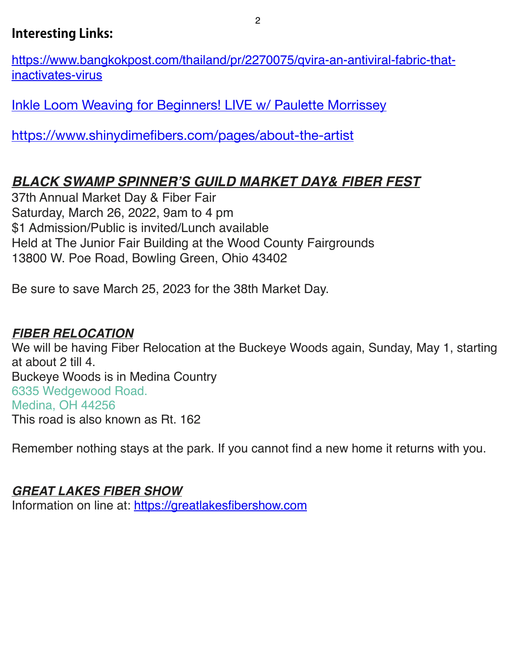### **Interesting Links:**

[https://www.bangkokpost.com/thailand/pr/2270075/qvira-an-antiviral-fabric-that](https://www.bangkokpost.com/thailand/pr/2270075/qvira-an-antiviral-fabric-that-inactivates-virus)[inactivates-virus](https://www.bangkokpost.com/thailand/pr/2270075/qvira-an-antiviral-fabric-that-inactivates-virus) 

Inkle Loom Weaving for Beginners! LIVE w/ Paulette Morrissey

<https://www.shinydimefibers.com/pages/about-the-artist>

## *BLACK SWAMP SPINNER'S GUILD MARKET DAY& FIBER FEST*

37th Annual Market Day & Fiber Fair Saturday, March 26, 2022, 9am to 4 pm \$1 Admission/Public is invited/Lunch available Held at The Junior Fair Building at the Wood County Fairgrounds 13800 W. Poe Road, Bowling Green, Ohio 43402

Be sure to save March 25, 2023 for the 38th Market Day.

#### *FIBER RELOCATION*

We will be having Fiber Relocation at the Buckeye Woods again, Sunday, May 1, starting at about 2 till 4. Buckeye Woods is in Medina Country 6335 Wedgewood Road. Medina, OH 44256 This road is also known as Rt. 162

Remember nothing stays at the park. If you cannot find a new home it returns with you.

#### *GREAT LAKES FIBER SHOW*

Information on line at: https://greatlakesfibershow.com